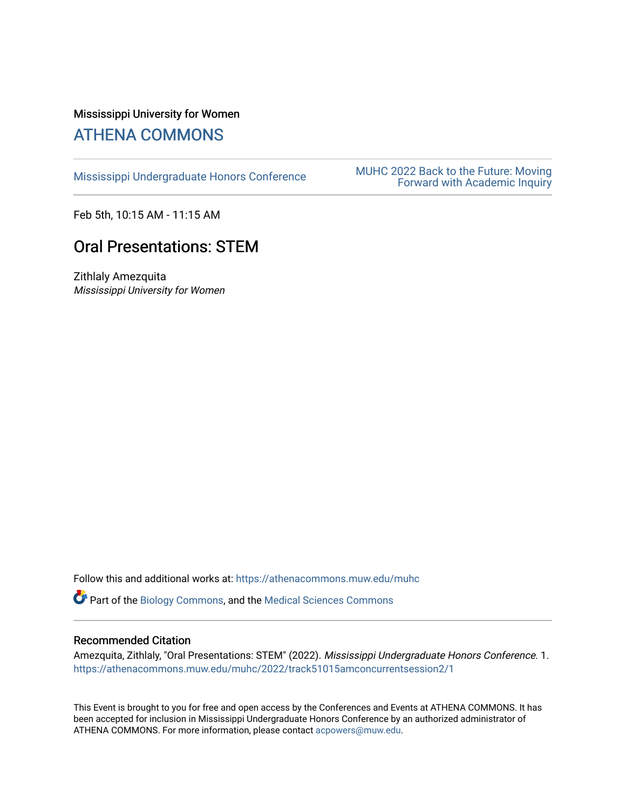## Mississippi University for Women [ATHENA COMMONS](https://athenacommons.muw.edu/)

MUHC 2022 Back to the Future: Moving<br>[Mississippi Undergraduate Honors Conference](https://athenacommons.muw.edu/muhc) **MUHC 2022 Back to the Future: Moving** [Forward with Academic Inquiry](https://athenacommons.muw.edu/muhc/2022) 

Feb 5th, 10:15 AM - 11:15 AM

# Oral Presentations: STEM

Zithlaly Amezquita Mississippi University for Women

Follow this and additional works at: [https://athenacommons.muw.edu/muhc](https://athenacommons.muw.edu/muhc?utm_source=athenacommons.muw.edu%2Fmuhc%2F2022%2Ftrack51015amconcurrentsession2%2F1&utm_medium=PDF&utm_campaign=PDFCoverPages) 

Part of the [Biology Commons,](http://network.bepress.com/hgg/discipline/41?utm_source=athenacommons.muw.edu%2Fmuhc%2F2022%2Ftrack51015amconcurrentsession2%2F1&utm_medium=PDF&utm_campaign=PDFCoverPages) and the [Medical Sciences Commons](http://network.bepress.com/hgg/discipline/664?utm_source=athenacommons.muw.edu%2Fmuhc%2F2022%2Ftrack51015amconcurrentsession2%2F1&utm_medium=PDF&utm_campaign=PDFCoverPages)

#### Recommended Citation

Amezquita, Zithlaly, "Oral Presentations: STEM" (2022). Mississippi Undergraduate Honors Conference. 1. [https://athenacommons.muw.edu/muhc/2022/track51015amconcurrentsession2/1](https://athenacommons.muw.edu/muhc/2022/track51015amconcurrentsession2/1?utm_source=athenacommons.muw.edu%2Fmuhc%2F2022%2Ftrack51015amconcurrentsession2%2F1&utm_medium=PDF&utm_campaign=PDFCoverPages) 

This Event is brought to you for free and open access by the Conferences and Events at ATHENA COMMONS. It has been accepted for inclusion in Mississippi Undergraduate Honors Conference by an authorized administrator of ATHENA COMMONS. For more information, please contact [acpowers@muw.edu](mailto:acpowers@muw.edu).